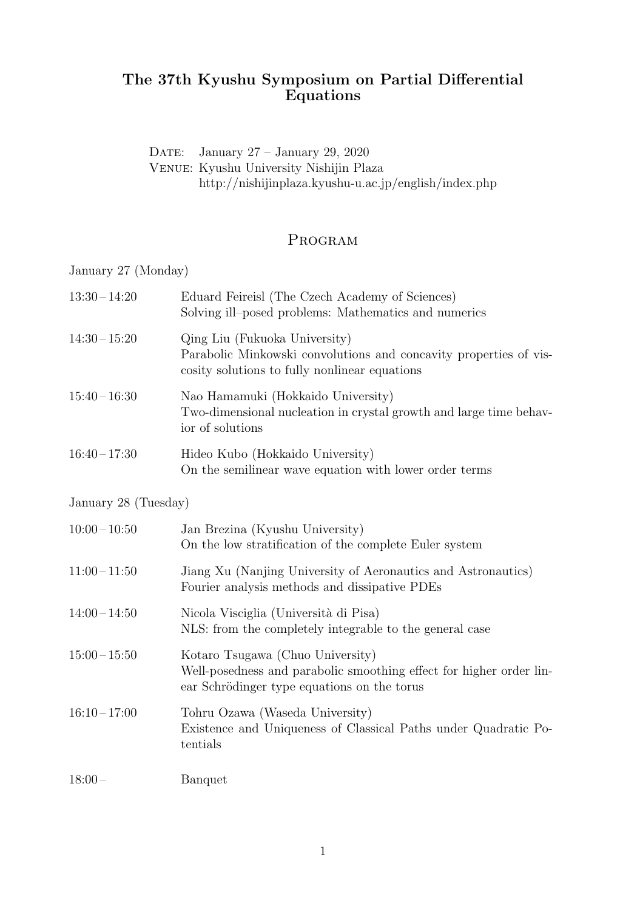## **The 37th Kyushu Symposium on Partial Differential Equations**

DATE: January 27 – January 29, 2020 Venue: Kyushu University Nishijin Plaza http://nishijinplaza.kyushu-u.ac.jp/english/index.php

## Program

January 27 (Monday)

| $13:30 - 14:20$ | Eduard Feireisl (The Czech Academy of Sciences)<br>Solving ill-posed problems: Mathematics and numerics                                             |
|-----------------|-----------------------------------------------------------------------------------------------------------------------------------------------------|
| $14:30 - 15:20$ | Qing Liu (Fukuoka University)<br>Parabolic Minkowski convolutions and concavity properties of vis-<br>cosity solutions to fully nonlinear equations |
| $15:40 - 16:30$ | Nao Hamamuki (Hokkaido University)<br>Two-dimensional nucleation in crystal growth and large time behav-<br>ior of solutions                        |
| $16:40-17:30$   | Hideo Kubo (Hokkaido University)<br>On the semilinear wave equation with lower order terms                                                          |

January 28 (Tuesday)

| $10:00-10:50$   | Jan Brezina (Kyushu University)<br>On the low stratification of the complete Euler system                                                              |
|-----------------|--------------------------------------------------------------------------------------------------------------------------------------------------------|
| $11:00-11:50$   | Jiang Xu (Nanjing University of Aeronautics and Astronautics)<br>Fourier analysis methods and dissipative PDEs                                         |
| $14:00 - 14:50$ | Nicola Visciglia (Università di Pisa)<br>NLS: from the completely integrable to the general case                                                       |
| $15:00 - 15:50$ | Kotaro Tsugawa (Chuo University)<br>Well-posedness and parabolic smoothing effect for higher order lin-<br>ear Schrödinger type equations on the torus |
| $16:10-17:00$   | Tohru Ozawa (Waseda University)<br>Existence and Uniqueness of Classical Paths under Quadratic Po-<br>tentials                                         |
| $18:00-$        | Banquet                                                                                                                                                |